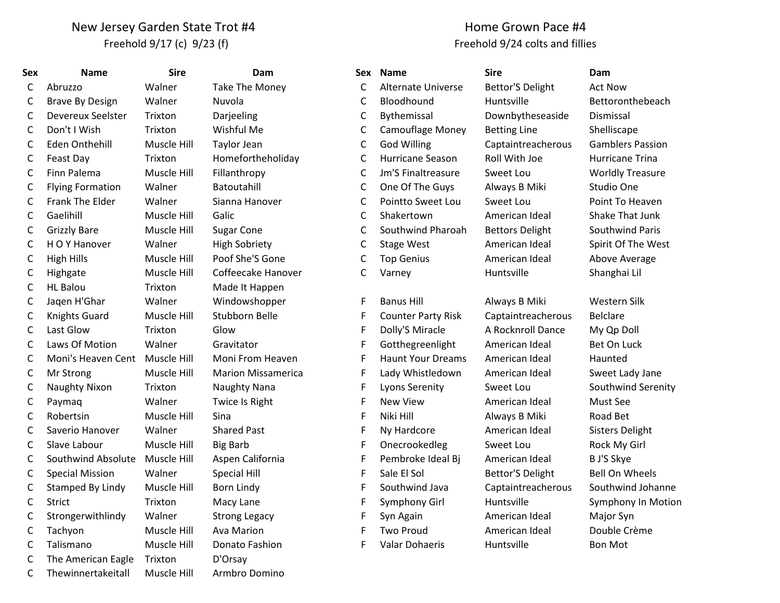## New Jersey Garden State Trot #4 Freehold 9/17 (c) 9/23 (f)

## Home Grown Pace #4 Freehold 9/24 colts and fillies

| Sex          | <b>Name</b>             | <b>Sire</b> | Dam                       |   | Sex Name                  | <b>Sire</b>             | Dam                     |
|--------------|-------------------------|-------------|---------------------------|---|---------------------------|-------------------------|-------------------------|
| C            | Abruzzo                 | Walner      | Take The Money            | C | <b>Alternate Universe</b> | <b>Bettor'S Delight</b> | <b>Act Now</b>          |
| C            | <b>Brave By Design</b>  | Walner      | Nuvola                    | C | Bloodhound                | Huntsville              | Bettoronthebeach        |
| C            | Devereux Seelster       | Trixton     | Darjeeling                | C | Bythemissal               | Downbytheseaside        | Dismissal               |
| C            | Don't I Wish            | Trixton     | Wishful Me                | C | Camouflage Money          | <b>Betting Line</b>     | Shelliscape             |
| C            | Eden Onthehill          | Muscle Hill | <b>Taylor Jean</b>        | C | <b>God Willing</b>        | Captaintreacherous      | <b>Gamblers Passion</b> |
| $\mathsf C$  | Feast Day               | Trixton     | Homefortheholiday         | C | Hurricane Season          | Roll With Joe           | <b>Hurricane Trina</b>  |
| $\mathsf{C}$ | Finn Palema             | Muscle Hill | Fillanthropy              | C | Jm'S Finaltreasure        | Sweet Lou               | <b>Worldly Treasure</b> |
| $\mathsf{C}$ | <b>Flying Formation</b> | Walner      | Batoutahill               | C | One Of The Guys           | Always B Miki           | Studio One              |
| $\mathsf{C}$ | Frank The Elder         | Walner      | Sianna Hanover            | C | Pointto Sweet Lou         | Sweet Lou               | Point To Heaven         |
| $\mathsf{C}$ | Gaelihill               | Muscle Hill | Galic                     | C | Shakertown                | American Ideal          | Shake That Junk         |
| $\mathsf{C}$ | <b>Grizzly Bare</b>     | Muscle Hill | <b>Sugar Cone</b>         | C | Southwind Pharoah         | <b>Bettors Delight</b>  | Southwind Paris         |
| $\mathsf{C}$ | H O Y Hanover           | Walner      | <b>High Sobriety</b>      | С | <b>Stage West</b>         | American Ideal          | Spirit Of The West      |
| $\mathsf{C}$ | <b>High Hills</b>       | Muscle Hill | Poof She'S Gone           | C | <b>Top Genius</b>         | American Ideal          | Above Average           |
| C            | Highgate                | Muscle Hill | Coffeecake Hanover        | C | Varney                    | Huntsville              | Shanghai Lil            |
| $\mathsf C$  | <b>HL Balou</b>         | Trixton     | Made It Happen            |   |                           |                         |                         |
| C            | Jaqen H'Ghar            | Walner      | Windowshopper             | F | <b>Banus Hill</b>         | Always B Miki           | Western Silk            |
| C            | <b>Knights Guard</b>    | Muscle Hill | Stubborn Belle            | F | <b>Counter Party Risk</b> | Captaintreacherous      | <b>Belclare</b>         |
| $\mathsf C$  | Last Glow               | Trixton     | Glow                      | F | Dolly'S Miracle           | A Rocknroll Dance       | My Qp Doll              |
| $\mathsf{C}$ | Laws Of Motion          | Walner      | Gravitator                | F | Gotthegreenlight          | American Ideal          | Bet On Luck             |
| $\mathsf{C}$ | Moni's Heaven Cent      | Muscle Hill | Moni From Heaven          | F | <b>Haunt Your Dreams</b>  | American Ideal          | Haunted                 |
| C            | Mr Strong               | Muscle Hill | <b>Marion Missamerica</b> | F | Lady Whistledown          | American Ideal          | Sweet Lady Jane         |
| $\mathsf{C}$ | Naughty Nixon           | Trixton     | Naughty Nana              | F | <b>Lyons Serenity</b>     | Sweet Lou               | Southwind Serenit       |
| C            | Paymaq                  | Walner      | Twice Is Right            | F | <b>New View</b>           | American Ideal          | Must See                |
| C            | Robertsin               | Muscle Hill | Sina                      | F | Niki Hill                 | Always B Miki           | Road Bet                |
| $\mathsf{C}$ | Saverio Hanover         | Walner      | <b>Shared Past</b>        | F | Ny Hardcore               | American Ideal          | <b>Sisters Delight</b>  |
| C            | Slave Labour            | Muscle Hill | <b>Big Barb</b>           | F | Onecrookedleg             | Sweet Lou               | Rock My Girl            |
| C            | Southwind Absolute      | Muscle Hill | Aspen California          | F | Pembroke Ideal Bj         | American Ideal          | B J'S Skye              |
| C            | <b>Special Mission</b>  | Walner      | <b>Special Hill</b>       | F | Sale El Sol               | <b>Bettor'S Delight</b> | <b>Bell On Wheels</b>   |
| C            | Stamped By Lindy        | Muscle Hill | <b>Born Lindy</b>         | F | Southwind Java            | Captaintreacherous      | Southwind Johann        |
| $\mathsf C$  | <b>Strict</b>           | Trixton     | Macy Lane                 | F | Symphony Girl             | Huntsville              | Symphony In Moti        |
| $\mathsf{C}$ | Strongerwithlindy       | Walner      | <b>Strong Legacy</b>      | F | Syn Again                 | American Ideal          | Major Syn               |
| C            | Tachyon                 | Muscle Hill | <b>Ava Marion</b>         | F | <b>Two Proud</b>          | American Ideal          | Double Crème            |
| $\mathsf{C}$ | Talismano               | Muscle Hill | Donato Fashion            | F | Valar Dohaeris            | Huntsville              | <b>Bon Mot</b>          |
| $\mathsf{C}$ | The American Eagle      | Trixton     | D'Orsay                   |   |                           |                         |                         |
| C            | Thewinnertakeitall      | Muscle Hill | Armbro Domino             |   |                           |                         |                         |